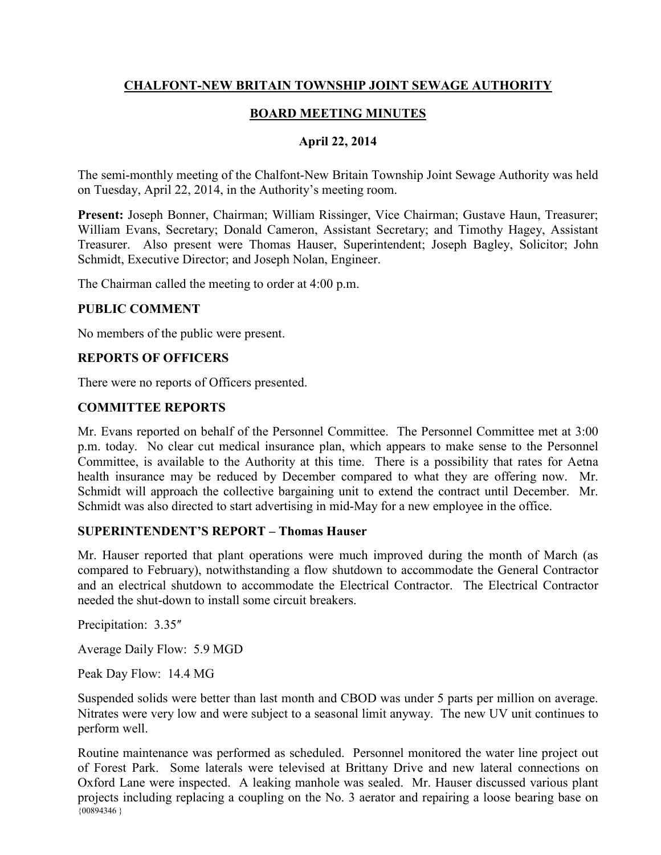## **CHALFONT-NEW BRITAIN TOWNSHIP JOINT SEWAGE AUTHORITY**

# **BOARD MEETING MINUTES**

## **April 22, 2014**

The semi-monthly meeting of the Chalfont-New Britain Township Joint Sewage Authority was held on Tuesday, April 22, 2014, in the Authority's meeting room.

**Present:** Joseph Bonner, Chairman; William Rissinger, Vice Chairman; Gustave Haun, Treasurer; William Evans, Secretary; Donald Cameron, Assistant Secretary; and Timothy Hagey, Assistant Treasurer. Also present were Thomas Hauser, Superintendent; Joseph Bagley, Solicitor; John Schmidt, Executive Director; and Joseph Nolan, Engineer.

The Chairman called the meeting to order at 4:00 p.m.

## **PUBLIC COMMENT**

No members of the public were present.

## **REPORTS OF OFFICERS**

There were no reports of Officers presented.

## **COMMITTEE REPORTS**

Mr. Evans reported on behalf of the Personnel Committee. The Personnel Committee met at 3:00 p.m. today. No clear cut medical insurance plan, which appears to make sense to the Personnel Committee, is available to the Authority at this time. There is a possibility that rates for Aetna health insurance may be reduced by December compared to what they are offering now. Mr. Schmidt will approach the collective bargaining unit to extend the contract until December. Mr. Schmidt was also directed to start advertising in mid-May for a new employee in the office.

#### **SUPERINTENDENT'S REPORT – Thomas Hauser**

Mr. Hauser reported that plant operations were much improved during the month of March (as compared to February), notwithstanding a flow shutdown to accommodate the General Contractor and an electrical shutdown to accommodate the Electrical Contractor. The Electrical Contractor needed the shut-down to install some circuit breakers.

Precipitation:  $3.35$ "

Average Daily Flow: 5.9 MGD

Peak Day Flow: 14.4 MG

Suspended solids were better than last month and CBOD was under 5 parts per million on average. Nitrates were very low and were subject to a seasonal limit anyway. The new UV unit continues to perform well.

 $\{00894346\}$ Routine maintenance was performed as scheduled. Personnel monitored the water line project out of Forest Park. Some laterals were televised at Brittany Drive and new lateral connections on Oxford Lane were inspected. A leaking manhole was sealed. Mr. Hauser discussed various plant projects including replacing a coupling on the No. 3 aerator and repairing a loose bearing base on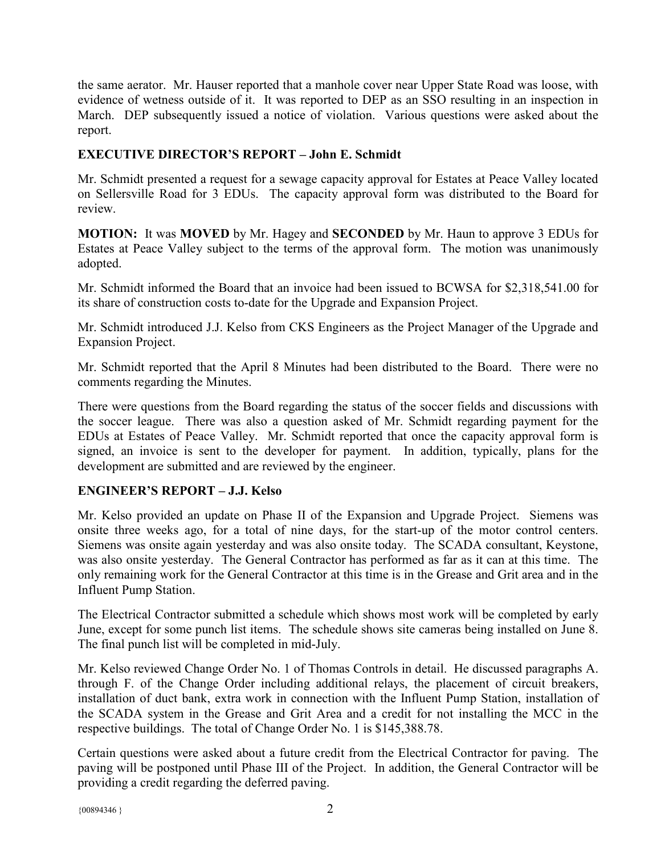the same aerator. Mr. Hauser reported that a manhole cover near Upper State Road was loose, with evidence of wetness outside of it. It was reported to DEP as an SSO resulting in an inspection in March. DEP subsequently issued a notice of violation. Various questions were asked about the report.

## **EXECUTIVE DIRECTOR'S REPORT – John E. Schmidt**

Mr. Schmidt presented a request for a sewage capacity approval for Estates at Peace Valley located on Sellersville Road for 3 EDUs. The capacity approval form was distributed to the Board for review.

**MOTION:** It was **MOVED** by Mr. Hagey and **SECONDED** by Mr. Haun to approve 3 EDUs for Estates at Peace Valley subject to the terms of the approval form. The motion was unanimously adopted.

Mr. Schmidt informed the Board that an invoice had been issued to BCWSA for \$2,318,541.00 for its share of construction costs to-date for the Upgrade and Expansion Project.

Mr. Schmidt introduced J.J. Kelso from CKS Engineers as the Project Manager of the Upgrade and Expansion Project.

Mr. Schmidt reported that the April 8 Minutes had been distributed to the Board. There were no comments regarding the Minutes.

There were questions from the Board regarding the status of the soccer fields and discussions with the soccer league. There was also a question asked of Mr. Schmidt regarding payment for the EDUs at Estates of Peace Valley. Mr. Schmidt reported that once the capacity approval form is signed, an invoice is sent to the developer for payment. In addition, typically, plans for the development are submitted and are reviewed by the engineer.

## **ENGINEER'S REPORT – J.J. Kelso**

Mr. Kelso provided an update on Phase II of the Expansion and Upgrade Project. Siemens was onsite three weeks ago, for a total of nine days, for the start-up of the motor control centers. Siemens was onsite again yesterday and was also onsite today. The SCADA consultant, Keystone, was also onsite yesterday. The General Contractor has performed as far as it can at this time. The only remaining work for the General Contractor at this time is in the Grease and Grit area and in the Influent Pump Station.

The Electrical Contractor submitted a schedule which shows most work will be completed by early June, except for some punch list items. The schedule shows site cameras being installed on June 8. The final punch list will be completed in mid-July.

Mr. Kelso reviewed Change Order No. 1 of Thomas Controls in detail. He discussed paragraphs A. through F. of the Change Order including additional relays, the placement of circuit breakers, installation of duct bank, extra work in connection with the Influent Pump Station, installation of the SCADA system in the Grease and Grit Area and a credit for not installing the MCC in the respective buildings. The total of Change Order No. 1 is \$145,388.78.

Certain questions were asked about a future credit from the Electrical Contractor for paving. The paving will be postponed until Phase III of the Project. In addition, the General Contractor will be providing a credit regarding the deferred paving.